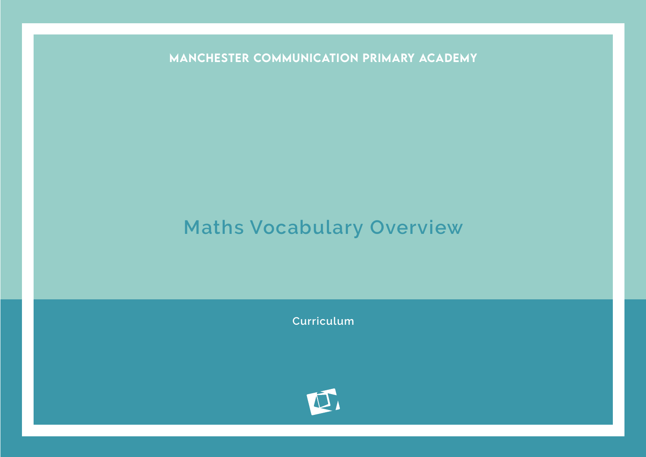MANCHESTER COMMUNICATION PRIMARY ACADEMY

## **Maths Vocabulary Overview**

**Curriculum**

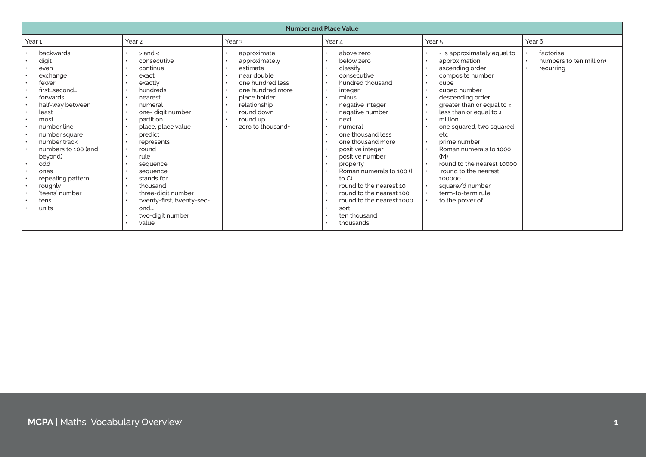| <b>Number and Place Value</b>                                                                                                                                                                                                                                                       |                                                                                                                                                                                                                                                                                                                                         |                                                                                                                                                                                |                                                                                                                                                                                                                                                                                                                                                                                                                   |                                                                                                                                                                                                                                                                                                                                                                                                                                                                                                                                                                            |                                                   |
|-------------------------------------------------------------------------------------------------------------------------------------------------------------------------------------------------------------------------------------------------------------------------------------|-----------------------------------------------------------------------------------------------------------------------------------------------------------------------------------------------------------------------------------------------------------------------------------------------------------------------------------------|--------------------------------------------------------------------------------------------------------------------------------------------------------------------------------|-------------------------------------------------------------------------------------------------------------------------------------------------------------------------------------------------------------------------------------------------------------------------------------------------------------------------------------------------------------------------------------------------------------------|----------------------------------------------------------------------------------------------------------------------------------------------------------------------------------------------------------------------------------------------------------------------------------------------------------------------------------------------------------------------------------------------------------------------------------------------------------------------------------------------------------------------------------------------------------------------------|---------------------------------------------------|
| Year 1                                                                                                                                                                                                                                                                              | Year <sub>2</sub>                                                                                                                                                                                                                                                                                                                       | Year 3                                                                                                                                                                         | Year 4                                                                                                                                                                                                                                                                                                                                                                                                            | Year <sub>5</sub>                                                                                                                                                                                                                                                                                                                                                                                                                                                                                                                                                          | Year <sub>6</sub>                                 |
| backwards<br>digit<br>even<br>exchange<br>fewer<br>firstsecond<br>forwards<br>half-way between<br>least<br>most<br>number line<br>number square<br>number track<br>numbers to 100 (and<br>beyond)<br>odd<br>ones<br>repeating pattern<br>roughly<br>'teens' number<br>tens<br>units | $>$ and $<$<br>consecutive<br>continue<br>exact<br>exactly<br>hundreds<br>nearest<br>numeral<br>one- digit number<br>partition<br>place, place value<br>predict<br>represents<br>round<br>rule<br>sequence<br>sequence<br>stands for<br>thousand<br>three-digit number<br>twenty-first, twenty-sec-<br>ond<br>two-digit number<br>value | approximate<br>approximately<br>estimate<br>near double<br>one hundred less<br>one hundred more<br>place holder<br>relationship<br>round down<br>round up<br>zero to thousand+ | above zero<br>below zero<br>classify<br>consecutive<br>hundred thousand<br>integer<br>minus<br>negative integer<br>negative number<br>next<br>numeral<br>one thousand less<br>one thousand more<br>positive integer<br>positive number<br>property<br>Roman numerals to 100 (I)<br>to C)<br>round to the nearest 10<br>round to the nearest 100<br>round to the nearest 1000<br>sort<br>ten thousand<br>thousands | * is approximately equal to<br>approximation<br>ascending order<br>composite number<br>cube<br>$\bullet$<br>cubed number<br>$\bullet$<br>descending order<br>greater than or equal to $\ge$<br>less than or equal to $\leq$<br>$\bullet$<br>million<br>$\bullet$<br>one squared, two squared<br>etc<br>prime number<br>$\bullet$<br>Roman numerals to 1000<br>$\bullet$<br>(M)<br>round to the nearest 10000<br>$\bullet$<br>round to the nearest<br>$\bullet$<br>100000<br>square/d number<br>$\bullet$<br>term-to-term rule<br>$\bullet$<br>to the power of<br>$\bullet$ | factorise<br>numbers to ten million+<br>recurring |
|                                                                                                                                                                                                                                                                                     |                                                                                                                                                                                                                                                                                                                                         |                                                                                                                                                                                |                                                                                                                                                                                                                                                                                                                                                                                                                   |                                                                                                                                                                                                                                                                                                                                                                                                                                                                                                                                                                            |                                                   |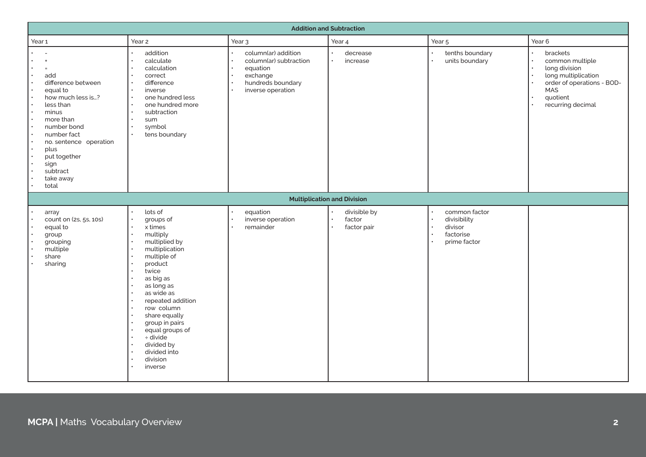| <b>Addition and Subtraction</b>                                                                                                                                                                                                                                                 |                                                                                                                                                                                                                                                                                                                                        |                                                                                                                                                                                                      |                                                                 |                                                                                                              |                                                                                                                                           |
|---------------------------------------------------------------------------------------------------------------------------------------------------------------------------------------------------------------------------------------------------------------------------------|----------------------------------------------------------------------------------------------------------------------------------------------------------------------------------------------------------------------------------------------------------------------------------------------------------------------------------------|------------------------------------------------------------------------------------------------------------------------------------------------------------------------------------------------------|-----------------------------------------------------------------|--------------------------------------------------------------------------------------------------------------|-------------------------------------------------------------------------------------------------------------------------------------------|
| Year 1                                                                                                                                                                                                                                                                          | Year 2                                                                                                                                                                                                                                                                                                                                 | Year <sub>3</sub>                                                                                                                                                                                    | Year 4                                                          | Year <sub>5</sub>                                                                                            | Year 6                                                                                                                                    |
| $\overline{a}$<br>$\ddot{}$<br>$\equiv$<br>add<br>difference between<br>equal to<br>$\bullet$<br>how much less is?<br>less than<br>minus<br>more than<br>number bond<br>number fact<br>no. sentence operation<br>plus<br>put together<br>sign<br>subtract<br>take away<br>total | addition<br>calculate<br>calculation<br>correct<br>difference<br>$\bullet$<br>$\bullet$<br>inverse<br>one hundred less<br>$\bullet$<br>one hundred more<br>subtraction<br>sum<br>symbol<br>tens boundary                                                                                                                               | column(ar) addition<br>column(ar) subtraction<br>$\ddot{\phantom{a}}$<br>equation<br>exchange<br>$\bullet$<br>hundreds boundary<br>$\ddot{\phantom{a}}$<br>inverse operation<br>$\ddot{\phantom{1}}$ | decrease<br>increase<br>$\bullet$                               | tenths boundary<br>units boundary                                                                            | brackets<br>common multiple<br>long division<br>long multiplication<br>order of operations - BOD-<br>MAS<br>quotient<br>recurring decimal |
|                                                                                                                                                                                                                                                                                 |                                                                                                                                                                                                                                                                                                                                        |                                                                                                                                                                                                      | <b>Multiplication and Division</b>                              |                                                                                                              |                                                                                                                                           |
| array<br>count on (2s, 5s, 10s)<br>equal to<br>group<br>grouping<br>multiple<br>share<br>sharing                                                                                                                                                                                | lots of<br>groups of<br>$\bullet$<br>x times<br>multiply<br>multiplied by<br>multiplication<br>multiple of<br>product<br>twice<br>as big as<br>as long as<br>as wide as<br>repeated addition<br>row column<br>share equally<br>group in pairs<br>equal groups of<br>$\div$ divide<br>divided by<br>divided into<br>division<br>inverse | equation<br>inverse operation<br>$\bullet$<br>remainder                                                                                                                                              | divisible by<br>factor<br>$\bullet$<br>factor pair<br>$\bullet$ | common factor<br>divisibility<br>$\bullet$<br>divisor<br>$\bullet$<br>factorise<br>$\bullet$<br>prime factor |                                                                                                                                           |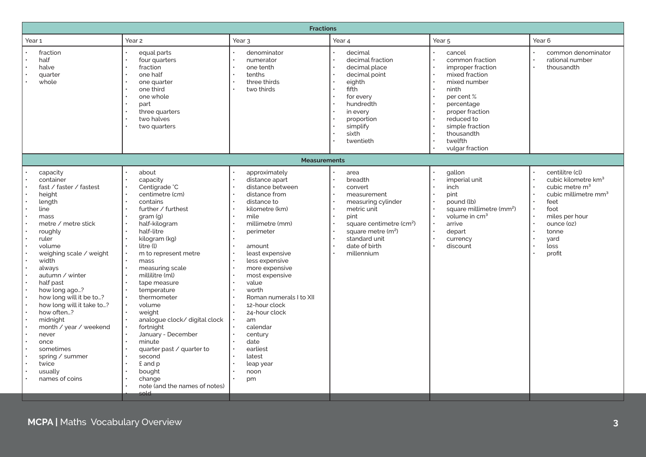| <b>Fractions</b>                                                                                                                                                                                                                                                                                                                                                                                                                            |                                                                                                                                                                                                                                                                                                                                                                                                                                                                                                                  |                                                                                                                                                                                                                                                                                                                                                                                                                                                                                                                                                                                                                                                        |                                                                                                                                                                                                       |                                                                                                                                                                                                                       |                                                                                                                                                                                                                                              |
|---------------------------------------------------------------------------------------------------------------------------------------------------------------------------------------------------------------------------------------------------------------------------------------------------------------------------------------------------------------------------------------------------------------------------------------------|------------------------------------------------------------------------------------------------------------------------------------------------------------------------------------------------------------------------------------------------------------------------------------------------------------------------------------------------------------------------------------------------------------------------------------------------------------------------------------------------------------------|--------------------------------------------------------------------------------------------------------------------------------------------------------------------------------------------------------------------------------------------------------------------------------------------------------------------------------------------------------------------------------------------------------------------------------------------------------------------------------------------------------------------------------------------------------------------------------------------------------------------------------------------------------|-------------------------------------------------------------------------------------------------------------------------------------------------------------------------------------------------------|-----------------------------------------------------------------------------------------------------------------------------------------------------------------------------------------------------------------------|----------------------------------------------------------------------------------------------------------------------------------------------------------------------------------------------------------------------------------------------|
| Year 1                                                                                                                                                                                                                                                                                                                                                                                                                                      | Year 2                                                                                                                                                                                                                                                                                                                                                                                                                                                                                                           | Year <sub>3</sub>                                                                                                                                                                                                                                                                                                                                                                                                                                                                                                                                                                                                                                      | Year 4                                                                                                                                                                                                | Year <sub>5</sub>                                                                                                                                                                                                     | Year 6                                                                                                                                                                                                                                       |
| fraction<br>half<br>halve<br>quarter<br>whole                                                                                                                                                                                                                                                                                                                                                                                               | equal parts<br>four quarters<br>fraction<br>one half<br>one quarter<br>one third<br>one whole<br>part<br>three quarters<br>two halves<br>two quarters                                                                                                                                                                                                                                                                                                                                                            | denominator<br>$\bullet$<br>$\bullet$<br>numerator<br>one tenth<br>tenths<br>three thirds<br>two thirds                                                                                                                                                                                                                                                                                                                                                                                                                                                                                                                                                | decimal<br>decimal fraction<br>decimal place<br>decimal point<br>eighth<br>fifth<br>for every<br>hundredth<br>in every<br>proportion<br>simplify<br>sixth<br>twentieth                                | cancel<br>common fraction<br>improper fraction<br>mixed fraction<br>mixed number<br>ninth<br>per cent %<br>percentage<br>proper fraction<br>reduced to<br>simple fraction<br>thousandth<br>twelfth<br>vulgar fraction | common denominator<br>rational number<br>$\ddot{\phantom{0}}$<br>thousandth                                                                                                                                                                  |
|                                                                                                                                                                                                                                                                                                                                                                                                                                             |                                                                                                                                                                                                                                                                                                                                                                                                                                                                                                                  | <b>Measurements</b>                                                                                                                                                                                                                                                                                                                                                                                                                                                                                                                                                                                                                                    |                                                                                                                                                                                                       |                                                                                                                                                                                                                       |                                                                                                                                                                                                                                              |
| capacity<br>container<br>fast / faster / fastest<br>height<br>length<br>line<br>mass<br>metre / metre stick<br>roughly<br>ruler<br>volume<br>weighing scale / weight<br>width<br>always<br>autumn / winter<br>half past<br>how long ago?<br>how long will it be to?<br>how long will it take to?<br>how often?<br>midnight<br>month / year / weekend<br>never<br>once<br>sometimes<br>spring / summer<br>twice<br>usually<br>names of coins | about<br>capacity<br>Centigrade °C<br>centimetre (cm)<br>contains<br>further / furthest<br>gram <sub>(q)</sub><br>half-kilogram<br>half-litre<br>kilogram (kg)<br>litre (l)<br>m to represent metre<br>mass<br>measuring scale<br>millilitre (ml)<br>tape measure<br>temperature<br>thermometer<br>volume<br>weight<br>analogue clock/ digital clock<br>fortnight<br>January - December<br>minute<br>quarter past / quarter to<br>second<br>£ and p<br>bought<br>change<br>note (and the names of notes)<br>sold | approximately<br>$\bullet$<br>distance apart<br>distance between<br>$\ddot{\phantom{a}}$<br>distance from<br>$\bullet$<br>distance to<br>kilometre (km)<br>mile<br>$\ddot{\phantom{a}}$<br>millimetre (mm)<br>$\bullet$<br>perimeter<br>$\bullet$<br>amount<br>$\bullet$<br>least expensive<br>$\bullet$<br>less expensive<br>more expensive<br>$\ddot{\phantom{a}}$<br>most expensive<br>value<br>$\bullet$<br>worth<br>Roman numerals I to XII<br>12-hour clock<br>$\bullet$<br>24-hour clock<br>am<br>$\bullet$<br>calendar<br>$\bullet$<br>century<br>$\bullet$<br>date<br>earliest<br>$\bullet$<br>latest<br>$\bullet$<br>leap year<br>noon<br>pm | area<br>breadth<br>convert<br>measurement<br>measuring cylinder<br>metric unit<br>pint<br>square centimetre (cm <sup>2</sup> )<br>square metre $(m2)$<br>standard unit<br>date of birth<br>millennium | gallon<br>imperial unit<br>inch<br>pint<br>pound (lb)<br>square millimetre (mm <sup>2</sup> )<br>volume in cm <sup>3</sup><br>arrive<br>depart<br>currency<br>discount                                                | centilitre (cl)<br>cubic kilometre km <sup>3</sup><br>$\ddot{\phantom{0}}$<br>cubic metre m <sup>3</sup><br>cubic millimetre mm <sup>3</sup><br>feet<br>foot<br>$\bullet$<br>miles per hour<br>ounce (oz)<br>tonne<br>yard<br>loss<br>profit |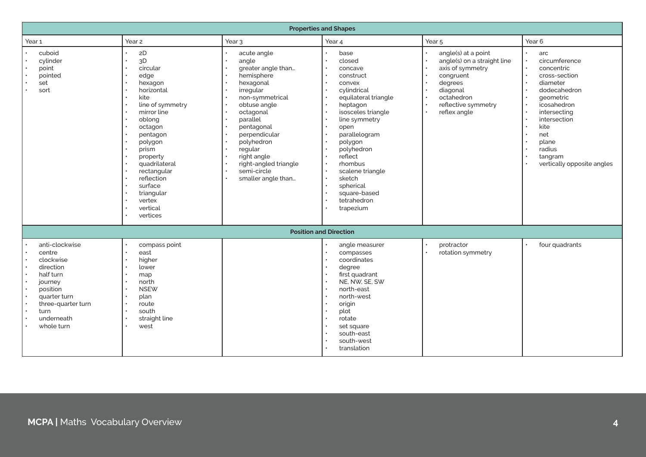| <b>Properties and Shapes</b>                                                                                                                                     |                                                                                                                                                                                                                                                                                                                                           |                                                                                                                                                                                                                                                                                     |                                                                                                                                                                                                                                                                                                           |                                                                                                                                                                                                                                                                                                                       |                                                                                                                                                                                                                        |
|------------------------------------------------------------------------------------------------------------------------------------------------------------------|-------------------------------------------------------------------------------------------------------------------------------------------------------------------------------------------------------------------------------------------------------------------------------------------------------------------------------------------|-------------------------------------------------------------------------------------------------------------------------------------------------------------------------------------------------------------------------------------------------------------------------------------|-----------------------------------------------------------------------------------------------------------------------------------------------------------------------------------------------------------------------------------------------------------------------------------------------------------|-----------------------------------------------------------------------------------------------------------------------------------------------------------------------------------------------------------------------------------------------------------------------------------------------------------------------|------------------------------------------------------------------------------------------------------------------------------------------------------------------------------------------------------------------------|
| Year <sub>1</sub>                                                                                                                                                | Year <sub>2</sub>                                                                                                                                                                                                                                                                                                                         | Year <sub>3</sub>                                                                                                                                                                                                                                                                   | Year 4                                                                                                                                                                                                                                                                                                    | Year <sub>5</sub>                                                                                                                                                                                                                                                                                                     | Year <sub>6</sub>                                                                                                                                                                                                      |
| cuboid<br>cylinder<br>point<br>pointed<br>set<br>sort                                                                                                            | $2\mathsf{D}$<br>$\bullet$<br>3D<br>$\bullet$<br>circular<br>$\bullet$<br>edge<br>$\bullet$<br>hexagon<br>horizontal<br>kite<br>line of symmetry<br>mirror line<br>oblong<br>octagon<br>pentagon<br>polygon<br>prism<br>property<br>quadrilateral<br>rectangular<br>reflection<br>surface<br>triangular<br>vertex<br>vertical<br>vertices | acute angle<br>angle<br>greater angle than<br>hemisphere<br>hexagonal<br>irregular<br>non-symmetrical<br>obtuse angle<br>octagonal<br>parallel<br>pentagonal<br>perpendicular<br>polyhedron<br>regular<br>right angle<br>right-angled triangle<br>semi-circle<br>smaller angle than | base<br>closed<br>concave<br>construct<br>convex<br>cylindrical<br>equilateral triangle<br>heptagon<br>isosceles triangle<br>line symmetry<br>open<br>parallelogram<br>polygon<br>polyhedron<br>reflect<br>rhombus<br>scalene triangle<br>sketch<br>spherical<br>square-based<br>tetrahedron<br>trapezium | angle(s) at a point<br>$\bullet$<br>angle(s) on a straight line<br>$\bullet$<br>$\bullet$<br>axis of symmetry<br>congruent<br>$\bullet$<br>$\ddot{\phantom{0}}$<br>degrees<br>$\bullet$<br>diagonal<br>octahedron<br>$\bullet$<br>$\ddot{\phantom{0}}$<br>reflective symmetry<br>$\ddot{\phantom{a}}$<br>reflex angle | arc<br>circumference<br>concentric<br>cross-section<br>diameter<br>dodecahedron<br>qeometric<br>icosahedron<br>intersecting<br>intersection<br>kite<br>net<br>plane<br>radius<br>tangram<br>vertically opposite angles |
|                                                                                                                                                                  |                                                                                                                                                                                                                                                                                                                                           |                                                                                                                                                                                                                                                                                     | <b>Position and Direction</b>                                                                                                                                                                                                                                                                             |                                                                                                                                                                                                                                                                                                                       |                                                                                                                                                                                                                        |
| anti-clockwise<br>centre<br>clockwise<br>direction<br>half turn<br>journey<br>position<br>quarter turn<br>three-quarter turn<br>turn<br>underneath<br>whole turn | compass point<br>east<br>higher<br>lower<br>map<br>north<br><b>NSEW</b><br>plan<br>$\bullet$<br>route<br>south<br>straight line<br>west                                                                                                                                                                                                   |                                                                                                                                                                                                                                                                                     | angle measurer<br>compasses<br>coordinates<br>degree<br>first quadrant<br>NE. NW. SE. SW<br>north-east<br>north-west<br>origin<br>plot<br>rotate<br>set square<br>south-east<br>south-west<br>translation                                                                                                 | protractor<br>$\bullet$<br>$\ddot{\phantom{0}}$<br>rotation symmetry                                                                                                                                                                                                                                                  | four quadrants                                                                                                                                                                                                         |